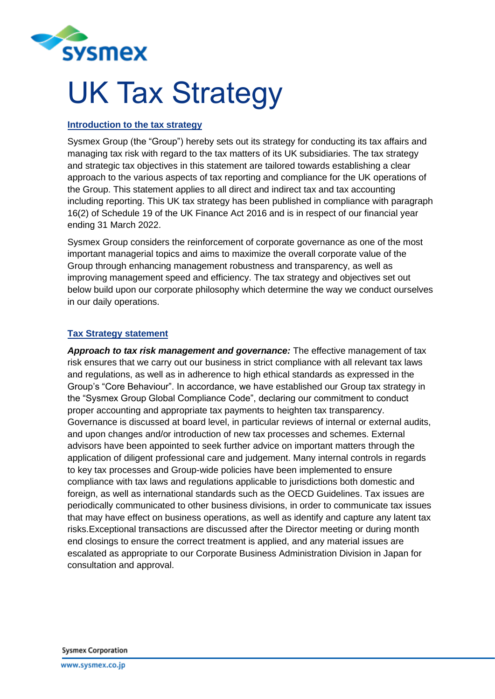

## UK Tax Strategy

## **Introduction to the tax strategy**

Sysmex Group (the "Group") hereby sets out its strategy for conducting its tax affairs and managing tax risk with regard to the tax matters of its UK subsidiaries. The tax strategy and strategic tax objectives in this statement are tailored towards establishing a clear approach to the various aspects of tax reporting and compliance for the UK operations of the Group. This statement applies to all direct and indirect tax and tax accounting including reporting. This UK tax strategy has been published in compliance with paragraph 16(2) of Schedule 19 of the UK Finance Act 2016 and is in respect of our financial year ending 31 March 2022.

Sysmex Group considers the reinforcement of corporate governance as one of the most important managerial topics and aims to maximize the overall corporate value of the Group through enhancing management robustness and transparency, as well as improving management speed and efficiency. The tax strategy and objectives set out below build upon our corporate philosophy which determine the way we conduct ourselves in our daily operations.

## **Tax Strategy statement**

*Approach to tax risk management and governance:* The effective management of tax risk ensures that we carry out our business in strict compliance with all relevant tax laws and regulations, as well as in adherence to high ethical standards as expressed in the Group's "Core Behaviour". In accordance, we have established our Group tax strategy in the "Sysmex Group Global Compliance Code", declaring our commitment to conduct proper accounting and appropriate tax payments to heighten tax transparency. Governance is discussed at board level, in particular reviews of internal or external audits, and upon changes and/or introduction of new tax processes and schemes. External advisors have been appointed to seek further advice on important matters through the application of diligent professional care and judgement. Many internal controls in regards to key tax processes and Group-wide policies have been implemented to ensure compliance with tax laws and regulations applicable to jurisdictions both domestic and foreign, as well as international standards such as the OECD Guidelines. Tax issues are periodically communicated to other business divisions, in order to communicate tax issues that may have effect on business operations, as well as identify and capture any latent tax risks.Exceptional transactions are discussed after the Director meeting or during month end closings to ensure the correct treatment is applied, and any material issues are escalated as appropriate to our Corporate Business Administration Division in Japan for consultation and approval.